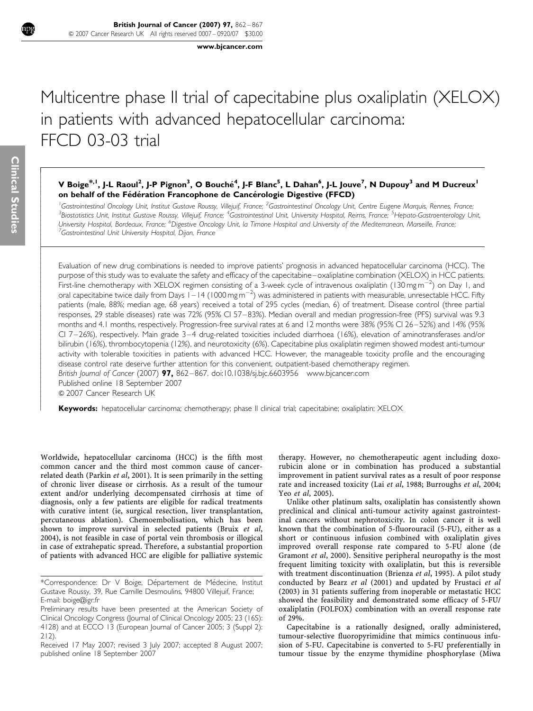[www.bjcancer.com](http://www.bjcancer.com)

# Multicentre phase II trial of capecitabine plus oxaliplatin (XELOX) in patients with advanced hepatocellular carcinoma: FFCD 03-03 trial

## V Boige<sup>\*, I</sup>, J-L Raoul<sup>2</sup>, J-P Pignon<sup>3</sup>, O Bouché<sup>4</sup>, J-F Blanc<sup>5</sup>, L Dahan<sup>6</sup>, J-L Jouve<sup>7</sup>, N Dupouy<sup>3</sup> and M Ducreux<sup>1</sup> on behalf of the Fédération Francophone de Cancérologie Digestive (FFCD)

<sup>1</sup>Gastrointestinal Oncology Unit, Institut Gustave Roussy, Villejuif, France; <sup>2</sup>Gastrointestinal Oncology Unit, Centre Eugene Marquis, Rennes, France;<br><sup>3</sup>Biostatistics Unit, Institut Gustave Reusey Villejuif, France: <sup>4</sup> Biostatistics Unit, Institut Gustave Roussy, Villejuif, France; <sup>4</sup>Gastrointestinal Unit, University Hospital, Reims, France; <sup>5</sup>Hepato-Gastroenterology Unit, University Hospital, Bordeaux, France; <sup>6</sup>Digestive Oncology Unit, la Timone Hospital and University of the Mediterranean, Marseille, France;<br><sup>7</sup>Castrointestinal Unit University Hospital, Dijop, France  $^7$ Gastrointestinal Unit University Hospital, Dijon, France

Evaluation of new drug combinations is needed to improve patients' prognosis in advanced hepatocellular carcinoma (HCC). The purpose of this study was to evaluate the safety and efficacy of the capecitabine–oxaliplatine combination (XELOX) in HCC patients. First-line chemotherapy with XELOX regimen consisting of a 3-week cycle of intravenous oxaliplatin (130 mg m $^{-2}$ ) on Day 1, and oral capecitabine twice daily from Days 1–14 (1000 mgm<sup>-2</sup>) was administered in patients with measurable, unresectable HCC. Fifty patients (male, 88%; median age, 68 years) received a total of 295 cycles (median, 6) of treatment. Disease control (three partial responses, 29 stable diseases) rate was 72% (95% CI 57–83%). Median overall and median progression-free (PFS) survival was 9.3 months and 4.1 months, respectively. Progression-free survival rates at 6 and 12 months were 38% (95% CI 26–52%) and 14% (95% CI 7–26%), respectively. Main grade 3–4 drug-related toxicities included diarrhoea (16%), elevation of aminotransferases and/or bilirubin (16%), thrombocytopenia (12%), and neurotoxicity (6%). Capecitabine plus oxaliplatin regimen showed modest anti-tumour activity with tolerable toxicities in patients with advanced HCC. However, the manageable toxicity profile and the encouraging disease control rate deserve further attention for this convenient, outpatient-based chemotherapy regimen.

British Journal of Cancer (2007) 97, 862–867. doi:[10.1038/sj.bjc.6603956](http://dx.doi.org/10.1038/sj.bjc.6603956) [www.bjcancer.com](http://www.bjcancer.com)

Published online 18 September 2007

& 2007 Cancer Research UK

Keywords: hepatocellular carcinoma; chemotherapy; phase II clinical trial; capecitabine; oxaliplatin; XELOX

Worldwide, hepatocellular carcinoma (HCC) is the fifth most common cancer and the third most common cause of cancer-related death [\(Parkin](#page-4-0) et al, 2001). It is seen primarily in the setting of chronic liver disease or cirrhosis. As a result of the tumour extent and/or underlying decompensated cirrhosis at time of diagnosis, only a few patients are eligible for radical treatments with curative intent (ie, surgical resection, liver transplantation, percutaneous ablation). Chemoembolisation, which has been shown to improve survival in selected patients ([Bruix](#page-4-0) et al, [2004\)](#page-4-0), is not feasible in case of portal vein thrombosis or illogical in case of extrahepatic spread. Therefore, a substantial proportion of patients with advanced HCC are eligible for palliative systemic

therapy. However, no chemotherapeutic agent including doxorubicin alone or in combination has produced a substantial improvement in patient survival rates as a result of poor response rate and increased toxicity (Lai et al[, 1988](#page-4-0); [Burroughs](#page-4-0) et al, 2004; Yeo et al[, 2005\)](#page-5-0).

Unlike other platinum salts, oxaliplatin has consistently shown preclinical and clinical anti-tumour activity against gastrointestinal cancers without nephrotoxicity. In colon cancer it is well known that the combination of 5-fluorouracil (5-FU), either as a short or continuous infusion combined with oxaliplatin gives improved overall response rate compared to 5-FU alone ([de](#page-4-0) [Gramont](#page-4-0) et al, 2000). Sensitive peripheral neuropathy is the most frequent limiting toxicity with oxaliplatin, but this is reversible with treatment discontinuation ([Brienza](#page-4-0) et al, 1995). A pilot study conducted by Bearz et al [\(2001\)](#page-4-0) and updated by [Frustaci](#page-4-0) et al [\(2003\)](#page-4-0) in 31 patients suffering from inoperable or metastatic HCC showed the feasibility and demonstrated some efficacy of 5-FU/ oxaliplatin (FOLFOX) combination with an overall response rate of 29%.

Capecitabine is a rationally designed, orally administered, tumour-selective fluoropyrimidine that mimics continuous infusion of 5-FU. Capecitabine is converted to 5-FU preferentially in tumour tissue by the enzyme thymidine phosphorylase [\(Miwa](#page-4-0)

í I I

I I I I ł ļ ľ I I I I I

I I I I ł

ł I I I I

<sup>\*</sup>Correspondence: Dr V Boige, Département de Médecine, Institut Gustave Roussy, 39, Rue Camille Desmoulins, 94800 Villejuif, France; E-mail: [boige@igr.fr](mailto:boige@igr.fr)

Preliminary results have been presented at the American Society of Clinical Oncology Congress (Journal of Clinical Oncology 2005; 23 (16S): 4128) and at ECCO 13 (European Journal of Cancer 2005; 3 (Suppl 2): 212).

Received 17 May 2007; revised 3 July 2007; accepted 8 August 2007; published online 18 September 2007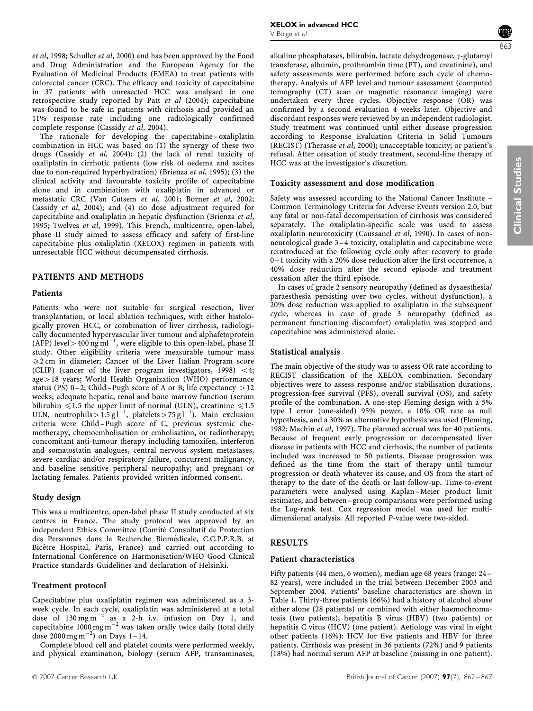et al[, 1998](#page-4-0); [Schuller](#page-5-0) et al, 2000) and has been approved by the Food and Drug Administration and the European Agency for the Evaluation of Medicinal Products (EMEA) to treat patients with colorectal cancer (CRC). The efficacy and toxicity of capecitabine in 37 patients with unresected HCC was analysed in one retrospective study reported by Patt et al [\(2004\);](#page-5-0) capecitabine was found to be safe in patients with cirrhosis and provided an 11% response rate including one radiologically confirmed complete response ([Cassidy](#page-4-0) et al, 2004).

The rationale for developing the capecitabine– oxaliplatin combination in HCC was based on (1) the synergy of these two drugs [\(Cassidy](#page-4-0) et al, 2004); (2) the lack of renal toxicity of oxaliplatin in cirrhotic patients (low risk of oedema and ascites due to non-required hyperhydration) ([Brienza](#page-4-0) et al, 1995); (3) the clinical activity and favourable toxicity profile of capecitabine alone and in combination with oxaliplatin in advanced or metastatic CRC [\(Van Cutsem](#page-5-0) et al, 2001; [Borner](#page-4-0) et al, 2002; [Cassidy](#page-4-0) et al, 2004); and (4) no dose adjustment required for capecitabine and oxaliplatin in hepatic dysfunction [\(Brienza](#page-4-0) et al, [1995](#page-4-0); [Twelves](#page-5-0) et al, 1999). This French, multicentre, open-label, phase II study aimed to assess efficacy and safety of first-line capecitabine plus oxaliplatin (XELOX) regimen in patients with unresectable HCC without decompensated cirrhosis.

#### PATIENTS AND METHODS

#### Patients

Patients who were not suitable for surgical resection, liver transplantation, or local ablation techniques, with either histologically proven HCC, or combination of liver cirrhosis, radiologically documented hypervascular liver tumour and alphafetoprotein (AFP) level > 400 ng ml<sup>-1</sup>, were eligible to this open-label, phase II study. Other eligibility criteria were measurable tumour mass  $\geqslant$  2 cm in diameter; Cancer of the Liver Italian Program score (CLIP) (cancer of the liver program investigators,  $1998$ ) < 4;  $age > 18$  years; World Health Organization (WHO) performance status (PS) 0-2; Child-Pugh score of A or B; life expectancy  $>12$ weeks; adequate hepatic, renal and bone marrow function (serum bilirubin  $\leq 1.5$  the upper limit of normal (ULN), creatinine  $\leq 1.5$ ULN, neutrophils >  $1.5$  g l<sup>-1</sup>, platelets > 75 g l<sup>-1</sup>). Main exclusion criteria were Child –Pugh score of C, previous systemic chemotherapy, chemoembolisation or embolisation, or radiotherapy; concomitant anti-tumour therapy including tamoxifen, interferon and somatostatin analogues, central nervous system metastases, severe cardiac and/or respiratory failure, concurrent malignancy, and baseline sensitive peripheral neuropathy; and pregnant or lactating females. Patients provided written informed consent.

#### Study design

This was a multicentre, open-label phase II study conducted at six centres in France. The study protocol was approved by an independent Ethics Committee (Comité Consultatif de Protection des Personnes dans la Recherche Biomédicale, C.C.P.P.R.B. at Bicêtre Hospital, Paris, France) and carried out according to International Conference on Harmonisation/WHO Good Clinical Practice standards Guidelines and declaration of Helsinki.

#### Treatment protocol

Capecitabine plus oxaliplatin regimen was administered as a 3 week cycle. In each cycle, oxaliplatin was administered at a total dose of  $130 \text{ mg m}^{-2}$  as a 2-h i.v. infusion on Day 1, and capecitabine 1000 mg m<sup>-2</sup> was taken orally twice daily (total daily dose 2000 mg m<sup>-2</sup>) on Days 1-14.

Complete blood cell and platelet counts were performed weekly, and physical examination, biology (serum AFP, transaminases,



alkaline phosphatases, bilirubin, lactate dehydrogenase,  $\gamma$ -glutamyl transferase, albumin, prothrombin time (PT), and creatinine), and safety assessments were performed before each cycle of chemotherapy. Analysis of AFP level and tumour assessment (computed tomography (CT) scan or magnetic resonance imaging) were undertaken every three cycles. Objective response (OR) was confirmed by a second evaluation 4 weeks later. Objective and discordant responses were reviewed by an independent radiologist. Study treatment was continued until either disease progression according to Response Evaluation Criteria in Solid Tumours (RECIST) [\(Therasse](#page-5-0) et al, 2000); unacceptable toxicity; or patient's refusal. After cessation of study treatment, second-line therapy of HCC was at the investigator's discretion.

#### Toxicity assessment and dose modification

Safety was assessed according to the National Cancer Institute – Common Terminology Criteria for Adverse Events version 2.0, but any fatal or non-fatal decompensation of cirrhosis was considered separately. The oxaliplatin-specific scale was used to assess oxaliplatin neurotoxicity ([Caussanel](#page-4-0) et al, 1990). In cases of nonneurological grade 3 –4 toxicity, oxaliplatin and capecitabine were reintroduced at the following cycle only after recovery to grade 0–1 toxicity with a 20% dose reduction after the first occurrence, a 40% dose reduction after the second episode and treatment cessation after the third episode.

In cases of grade 2 sensory neuropathy (defined as dysaesthesia/ paraesthesia persisting over two cycles, without dysfunction), a 20% dose reduction was applied to oxaliplatin in the subsequent cycle, whereas in case of grade 3 neuropathy (defined as permanent functioning discomfort) oxaliplatin was stopped and capecitabine was administered alone.

#### Statistical analysis

The main objective of the study was to assess OR rate according to RECIST classification of the XELOX combination. Secondary objectives were to assess response and/or stabilisation durations, progression-free survival (PFS), overall survival (OS), and safety profile of the combination. A one-step Fleming design with a 5% type I error (one-sided) 95% power, a 10% OR rate as null hypothesis, and a 30% as alternative hypothesis was used ([Fleming,](#page-4-0) [1982](#page-4-0); [Machin](#page-4-0) et al, 1997). The planned accrual was for 40 patients. Because of frequent early progression or decompensated liver disease in patients with HCC and cirrhosis, the number of patients included was increased to 50 patients. Disease progression was defined as the time from the start of therapy until tumour progression or death whatever its cause, and OS from the start of therapy to the date of the death or last follow-up. Time-to-event parameters were analysed using Kaplan–Meier product limit estimates, and between–group comparisons were performed using the Log-rank test. Cox regression model was used for multidimensional analysis. All reported P-value were two-sided.

#### RESULTS

#### Patient characteristics

Fifty patients (44 men, 6 women), median age 68 years (range: 24– 82 years), were included in the trial between December 2003 and September 2004. Patients' baseline characteristics are shown in [Table 1](#page-2-0). Thirty-three patients (66%) had a history of alcohol abuse either alone (28 patients) or combined with either haemochromatosis (two patients), hepatitis B virus (HBV) (two patients) or hepatitis C virus (HCV) (one patient). Aetiology was viral in eight other patients (16%): HCV for five patients and HBV for three patients. Cirrhosis was present in 36 patients (72%) and 9 patients (18%) had normal serum AFP at baseline (missing in one patient).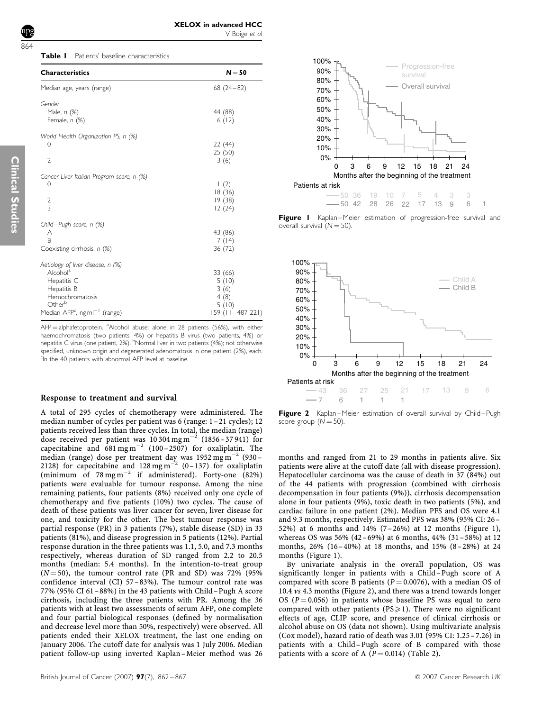<span id="page-2-0"></span>

|  | <b>Table I</b> Patients' baseline characteristics |  |
|--|---------------------------------------------------|--|

| <b>Characteristics</b>                                | $N = 50$           |
|-------------------------------------------------------|--------------------|
| Median age, years (range)                             | $68(24-82)$        |
| Gender                                                |                    |
| Male, n (%)<br>Female, $n$ $(\%)$                     | 44 (88)<br>6(12)   |
| World Health Organization PS, n (%)                   |                    |
| 0                                                     | 22 (44)            |
| I                                                     | 25(50)             |
| $\overline{2}$                                        | 3(6)               |
| Cancer Liver Italian Program score, n (%)             |                    |
| 0                                                     | $\left(2\right)$   |
| $\mathbf{I}$                                          | 18(36)             |
| $\overline{2}$                                        | 19(38)             |
| 3                                                     | 12(24)             |
| Child-Pugh score, n (%)                               |                    |
| Α                                                     | 43 (86)            |
| B                                                     | 7(14)              |
| Coexisting cirrhosis, n (%)                           | 36 (72)            |
| Aetiology of liver disease, n (%)                     |                    |
| Alcohol <sup>a</sup>                                  | 33 (66)            |
| Hepatitis C                                           | 5(10)              |
| Hepatitis B                                           | 3(6)               |
| Hemochromatosis                                       | 4(8)               |
| Other <sup>b</sup>                                    | 5(10)              |
| Median AFP <sup>c</sup> , ng ml <sup>-1</sup> (range) | 159 (11 - 487 221) |

AFP = alphafetoprotein. <sup>a</sup> Alcohol abuse: alone in 28 patients (56%), with either haemochromatosis (two patients, 4%) or hepatitis B virus (two patients, 4%) or hepatitis C virus (one patient, 2%). <sup>b</sup>Normal liver in two patients (4%); not otherwise specified, unknown origin and degenerated adenomatosis in one patient (2%), each. <sup>c</sup>In the 40 patients with abnormal AFP level at baseline.

#### Response to treatment and survival

A total of 295 cycles of chemotherapy were administered. The median number of cycles per patient was 6 (range: 1 –21 cycles); 12 patients received less than three cycles. In total, the median (range) dose received per patient was  $10304$  mg m<sup>-2</sup> (1856–37941) for capecitabine and  $681 \text{ mg m}^{-2}$  (100 – 2507) for oxaliplatin. The median (range) dose per treatment day was  $1952 \text{ mg m}^{-2}$  (930 – 2128) for capecitabine and 128 mg m<sup>-2</sup> (0-137) for oxaliplatin (minimum of  $78 \text{ mg m}^{-2}$  if administered). Forty-one (82%) patients were evaluable for tumour response. Among the nine remaining patients, four patients (8%) received only one cycle of chemotherapy and five patients (10%) two cycles. The cause of death of these patients was liver cancer for seven, liver disease for one, and toxicity for the other. The best tumour response was partial response (PR) in 3 patients (7%), stable disease (SD) in 33 patients (81%), and disease progression in 5 patients (12%). Partial response duration in the three patients was 1.1, 5.0, and 7.3 months respectively, whereas duration of SD ranged from 2.2 to 20.5 months (median: 5.4 months). In the intention-to-treat group  $(N = 50)$ , the tumour control rate (PR and SD) was 72% (95%) confidence interval (CI) 57 –83%). The tumour control rate was 77% (95% CI 61–88%) in the 43 patients with Child –Pugh A score cirrhosis, including the three patients with PR. Among the 36 patients with at least two assessments of serum AFP, one complete and four partial biological responses (defined by normalisation and decrease level more than 50%, respectively) were observed. All patients ended their XELOX treatment, the last one ending on January 2006. The cutoff date for analysis was 1 July 2006. Median patient follow-up using inverted Kaplan –Meier method was 26



Figure I Kaplan–Meier estimation of progression-free survival and overall survival  $(N = 50)$ .



Figure 2 Kaplan–Meier estimation of overall survival by Child–Pugh score group  $(N = 50)$ .

months and ranged from 21 to 29 months in patients alive. Six patients were alive at the cutoff date (all with disease progression). Hepatocellular carcinoma was the cause of death in 37 (84%) out of the 44 patients with progression (combined with cirrhosis decompensation in four patients (9%)), cirrhosis decompensation alone in four patients (9%), toxic death in two patients (5%), and cardiac failure in one patient (2%). Median PFS and OS were 4.1 and 9.3 months, respectively. Estimated PFS was 38% (95% CI: 26– 52%) at 6 months and 14% (7– 26%) at 12 months (Figure 1), whereas OS was 56% (42–69%) at 6 months, 44% (31–58%) at 12 months, 26% (16–40%) at 18 months, and 15% (8–28%) at 24 months (Figure 1).

By univariate analysis in the overall population, OS was significantly longer in patients with a Child– Pugh score of A compared with score B patients ( $P = 0.0076$ ), with a median OS of 10.4 vs 4.3 months (Figure 2), and there was a trend towards longer OS ( $P = 0.056$ ) in patients whose baseline PS was equal to zero compared with other patients ( $PS \ge 1$ ). There were no significant effects of age, CLIP score, and presence of clinical cirrhosis or alcohol abuse on OS (data not shown). Using multivariate analysis (Cox model), hazard ratio of death was 3.01 (95% CI: 1.25–7.26) in patients with a Child– Pugh score of B compared with those patients with a score of A  $(P = 0.014)$  ([Table 2\)](#page-3-0).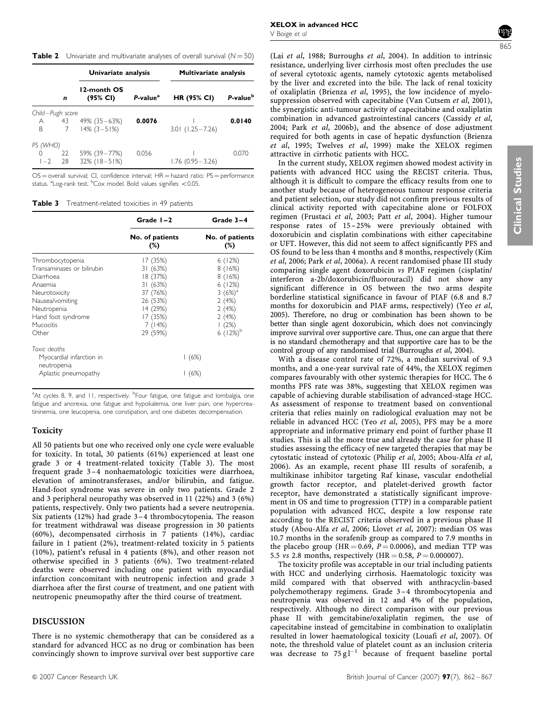<span id="page-3-0"></span>**Table 2** Univariate and multivariate analyses of overall survival  $(N = 50)$ 

|                  |    | Univariate analysis     |                      | <b>Multivariate analysis</b> |                      |
|------------------|----|-------------------------|----------------------|------------------------------|----------------------|
|                  | n  | 12-month OS<br>(95% CI) | P-value <sup>a</sup> | <b>HR (95% CI)</b>           | P-value <sup>b</sup> |
| Child-Pugh score |    |                         |                      |                              |                      |
| A                | 43 | 49% (35 – 63%)          | 0.0076               |                              | 0.0140               |
| B                | 7  | $14\%$ (3 - 51%)        |                      | $3.01$ (1.25 - 7.26)         |                      |
| PS (WHO)         |    |                         |                      |                              |                      |
|                  | 22 | 59% (39 - 77%)          | 0.056                |                              | (1()                 |
| $1 - 2$          | 28 | $32\%$ (18-51%)         |                      | $1.76(0.95 - 3.26)$          |                      |

 $OS =$  overall survival; CI, confidence interval;  $HR =$  hazard ratio;  $PS =$  performance status. <sup>a</sup>Log-rank test. <sup>b</sup>Cox model. Bold values signifies <0.05.

Table 3 Treatment-related toxicities in 49 patients

|                                                                                                                                                                       | Grade $I - 2$                                                                                                      | Grade 3-4                                                                                             |  |
|-----------------------------------------------------------------------------------------------------------------------------------------------------------------------|--------------------------------------------------------------------------------------------------------------------|-------------------------------------------------------------------------------------------------------|--|
|                                                                                                                                                                       | No. of patients<br>$(\%)$                                                                                          | No. of patients<br>$(\%)$                                                                             |  |
| Thrombocytopenia<br>Transaminases or bilirubin<br>Diarrhoea<br>Anaemia<br>Neurotoxicity<br>Nausea/vomiting<br>Neutropenia<br>Hand foot syndrome<br>Mucocitis<br>Other | 17 (35%)<br>31(63%)<br>18 (37%)<br>31 (63%)<br>37 (76%)<br>26 (53%)<br>14 (29%)<br>17 (35%)<br>7 (14%)<br>29 (59%) | 6(12%)<br>8(16%)<br>8(16%)<br>6(12%)<br>3 $(6%)^a$<br>2(4%)<br>2(4%)<br>2(4%)<br>1(2%)<br>6 $(12%)^b$ |  |
| Toxic deaths<br>Myocardial infarction in<br>neutropenia<br>Aplastic pneumopathy                                                                                       |                                                                                                                    | (6%)<br>  (6%)                                                                                        |  |

<sup>a</sup>At cycles 8, 9, and 11, respectively. <sup>b</sup>Four fatigue, one fatigue and lombalgia, one fatigue and anorexia, one fatigue and hypokalemia, one liver pain, one hypercreatininemia, one leucopenia, one constipation, and one diabetes decompensation.

# Toxicity

All 50 patients but one who received only one cycle were evaluable for toxicity. In total, 30 patients (61%) experienced at least one grade 3 or 4 treatment-related toxicity (Table 3). The most frequent grade 3–4 nonhaematologic toxicities were diarrhoea, elevation of aminotransferases, and/or bilirubin, and fatigue. Hand-foot syndrome was severe in only two patients. Grade 2 and 3 peripheral neuropathy was observed in 11 (22%) and 3 (6%) patients, respectively. Only two patients had a severe neutropenia. Six patients (12%) had grade 3 –4 thrombocytopenia. The reason for treatment withdrawal was disease progression in 30 patients (60%), decompensated cirrhosis in 7 patients (14%), cardiac failure in 1 patient (2%), treatment-related toxicity in 5 patients (10%), patient's refusal in 4 patients (8%), and other reason not otherwise specified in 3 patients (6%). Two treatment-related deaths were observed including one patient with myocardial infarction concomitant with neutropenic infection and grade 3 diarrhoea after the first course of treatment, and one patient with neutropenic pneumopathy after the third course of treatment.

# DISCUSSION

There is no systemic chemotherapy that can be considered as a standard for advanced HCC as no drug or combination has been convincingly shown to improve survival over best supportive care

865

(Lai et al[, 1988](#page-4-0); [Burroughs](#page-4-0) et al, 2004). In addition to intrinsic resistance, underlying liver cirrhosis most often precludes the use of several cytotoxic agents, namely cytotoxic agents metabolised by the liver and excreted into the bile. The lack of renal toxicity of oxaliplatin ([Brienza](#page-4-0) et al, 1995), the low incidence of myelo-suppression observed with capecitabine [\(Van Cutsem](#page-5-0) et al, 2001), the synergistic anti-tumour activity of capecitabine and oxaliplatin combination in advanced gastrointestinal cancers [\(Cassidy](#page-4-0) et al, [2004](#page-4-0); Park et al[, 2006b](#page-4-0)), and the absence of dose adjustment required for both agents in case of hepatic dysfunction ([Brienza](#page-4-0) et al[, 1995](#page-4-0); [Twelves](#page-5-0) et al, 1999) make the XELOX regimen attractive in cirrhotic patients with HCC.

In the current study, XELOX regimen showed modest activity in patients with advanced HCC using the RECIST criteria. Thus, although it is difficult to compare the efficacy results from one to another study because of heterogeneous tumour response criteria and patient selection, our study did not confirm previous results of clinical activity reported with capecitabine alone or FOLFOX regimen ([Frustaci](#page-4-0) et al, 2003; Patt et al[, 2004](#page-5-0)). Higher tumour response rates of 15 –25% were previously obtained with doxorubicin and cisplatin combinations with either capecitabine or UFT. However, this did not seem to affect significantly PFS and OS found to be less than 4 months and 8 months, respectively [\(Kim](#page-4-0) et al[, 2006;](#page-4-0) Park et al[, 2006a\)](#page-4-0). A recent randomised phase III study comparing single agent doxorubicin vs PIAF regimen (cisplatin/ interferon a-2b/doxorubicin/fluorouracil) did not show any significant difference in OS between the two arms despite borderline statistical significance in favour of PIAF (6.8 and 8.7 months for doxorubicin and PIAF arms, respectively) (Yeo [et al](#page-5-0), [2005](#page-5-0)). Therefore, no drug or combination has been shown to be better than single agent doxorubicin, which does not convincingly improve survival over supportive care. Thus, one can argue that there is no standard chemotherapy and that supportive care has to be the control group of any randomised trial [\(Burroughs](#page-4-0) et al, 2004).

With a disease control rate of 72%, a median survival of 9.3 months, and a one-year survival rate of 44%, the XELOX regimen compares favourably with other systemic therapies for HCC. The 6 months PFS rate was 38%, suggesting that XELOX regimen was capable of achieving durable stabilisation of advanced-stage HCC. As assessment of response to treatment based on conventional criteria that relies mainly on radiological evaluation may not be reliable in advanced HCC (Yeo et al[, 2005\)](#page-5-0), PFS may be a more appropriate and informative primary end point of further phase II studies. This is all the more true and already the case for phase II studies assessing the efficacy of new targeted therapies that may be cytostatic instead of cytotoxic [\(Philip](#page-5-0) et al, 2005; [Abou-Alfa](#page-4-0) et al, [2006](#page-4-0)). As an example, recent phase III results of sorafenib, a multikinase inhibitor targeting Raf kinase, vascular endothelial growth factor receptor, and platelet-derived growth factor receptor, have demonstrated a statistically significant improvement in OS and time to progression (TTP) in a comparable patient population with advanced HCC, despite a low response rate according to the RECIST criteria observed in a previous phase II study ([Abou-Alfa](#page-4-0) et al, 2006; [Llovet](#page-4-0) et al, 2007): median OS was 10.7 months in the sorafenib group as compared to 7.9 months in the placebo group (HR = 0.69,  $P = 0.0006$ ), and median TTP was 5.5 *vs* 2.8 months, respectively (HR = 0.58,  $P = 0.000007$ ).

The toxicity profile was acceptable in our trial including patients with HCC and underlying cirrhosis. Haematologic toxicity was mild compared with that observed with anthracyclin-based polychemotherapy regimens. Grade 3–4 thrombocytopenia and neutropenia was observed in 12 and 4% of the population, respectively. Although no direct comparison with our previous phase II with gemcitabine/oxaliplatin regimen, the use of capecitabine instead of gemcitabine in combination to oxaliplatin resulted in lower haematological toxicity ([Louafi](#page-4-0) et al, 2007). Of note, the threshold value of platelet count as an inclusion criteria was decrease to  $75 \text{ g l}^{-1}$  because of frequent baseline portal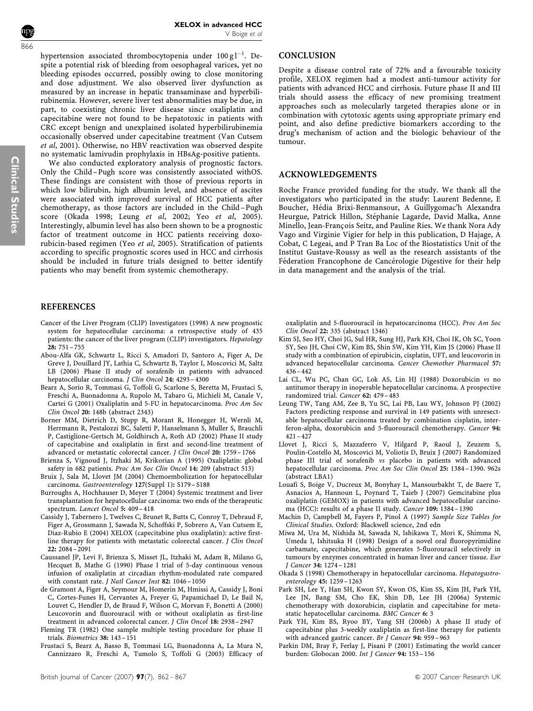<span id="page-4-0"></span>

hypertension associated thrombocytopenia under  $100\,\mathrm{g}\,\mathrm{l}^{-1}$ . Despite a potential risk of bleeding from oesophageal varices, yet no bleeding episodes occurred, possibly owing to close monitoring and dose adjustment. We also observed liver dysfunction as measured by an increase in hepatic transaminase and hyperbilirubinemia. However, severe liver test abnormalities may be due, in part, to coexisting chronic liver disease since oxaliplatin and capecitabine were not found to be hepatotoxic in patients with CRC except benign and unexplained isolated hyperbilirubinemia occasionally observed under capecitabine treatment [\(Van Cutsem](#page-5-0) et al[, 2001\)](#page-5-0). Otherwise, no HBV reactivation was observed despite no systematic lamivudin prophylaxis in HBsAg-positive patients.

We also conducted exploratory analysis of prognostic factors. Only the Child– Pugh score was consistently associated withOS. These findings are consistent with those of previous reports in which low bilirubin, high albumin level, and absence of ascites were associated with improved survival of HCC patients after chemotherapy, as those factors are included in the Child–Pugh score (Okada 1998; Leung et al, 2002; Yeo et al[, 2005](#page-5-0)). Interestingly, albumin level has also been shown to be a prognostic factor of treatment outcome in HCC patients receiving doxorubicin-based regimen (Yeo et al[, 2005](#page-5-0)). Stratification of patients according to specific prognostic scores used in HCC and cirrhosis should be included in future trials designed to better identify patients who may benefit from systemic chemotherapy.

#### REFERENCES

- Cancer of the Liver Program (CLIP) Investigators (1998) A new prognostic system for hepatocellular carcinoma: a retrospective study of 435 patients: the cancer of the liver program (CLIP) investigators. Hepatology 28: 751 – 755
- Abou-Alfa GK, Schwartz L, Ricci S, Amadori D, Santoro A, Figer A, De Greve J, Douillard JY, Lathia C, Schwartz B, Taylor I, Moscovici M, Saltz LB (2006) Phase II study of sorafenib in patients with advanced hepatocellular carcinoma. J Clin Oncol 24: 4293 – 4300
- Bearz A, Sorio R, Tommasi G, Toffoli G, Scarlone S, Beretta M, Frustaci S, Freschi A, Buonadonna A, Rupolo M, Tabaro G, Michieli M, Canale V, Cartei G (2001) Oxaliplatin and 5-FU in hepatocarcinoma. Proc Am Soc Clin Oncol 20: 148b (abstract 2343)
- Borner MM, Dietrich D, Stupp R, Morant R, Honegger H, Wernli M, Herrmann R, Pestalozzi BC, Saletti P, Hanselmann S, Muller S, Brauchli P, Castiglione-Gertsch M, Goldhirsch A, Roth AD (2002) Phase II study of capecitabine and oxaliplatin in first and second-line treatment of advanced or metastatic colorectal cancer. J Clin Oncol 20: 1759 – 1766
- Brienza S, Vignoud J, Itzhaki M, Krikorian A (1995) Oxaliplatin: global safety in 682 patients. Proc Am Soc Clin Oncol 14: 209 (abstract 513)
- Bruix J, Sala M, Llovet JM (2004) Chemoembolization for hepatocellular carcinoma. Gastroenterology 127(Suppl 1): S179 – S188
- Burroughs A, Hochhauser D, Meyer T (2004) Systemic treatment and liver transplantation for hepatocellular carcinoma: two ends of the therapeutic spectrum. Lancet Oncol 5: 409-418
- Cassidy J, Tabernero J, Twelves C, Brunet R, Butts C, Conroy T, Debraud F, Figer A, Grossmann J, Sawada N, Schoffski P, Sobrero A, Van Cutsem E, Diaz-Rubio E (2004) XELOX (capecitabine plus oxaliplatin): active firstline therapy for patients with metastatic colorectal cancer. J Clin Oncol 22: 2084 – 2091
- Caussanel JP, Levi F, Brienza S, Misset JL, Itzhaki M, Adam R, Milano G, Hecquet B, Mathe G (1990) Phase I trial of 5-day continuous venous infusion of oxaliplatin at circadian rhythm-modulated rate compared with constant rate. J Natl Cancer Inst 82: 1046 – 1050
- de Gramont A, Figer A, Seymour M, Homerin M, Hmissi A, Cassidy J, Boni C, Cortes-Funes H, Cervantes A, Freyer G, Papamichael D, Le Bail N, Louvet C, Hendler D, de Braud F, Wilson C, Morvan F, Bonetti A (2000) Leucovorin and fluorouracil with or without oxaliplatin as first-line treatment in advanced colorectal cancer. J Clin Oncol 18: 2938 – 2947
- Fleming TR (1982) One sample multiple testing procedure for phase II trials. Biometrics 38: 143 – 151
- Frustaci S, Bearz A, Basso B, Tommasi LG, Buonadonna A, La Mura N, Cannizzaro R, Freschi A, Tumolo S, Toffoli G (2003) Efficacy of

## **CONCLUSION**

Despite a disease control rate of 72% and a favourable toxicity profile, XELOX regimen had a modest anti-tumour activity for patients with advanced HCC and cirrhosis. Future phase II and III trials should assess the efficacy of new promising treatment approaches such as molecularly targeted therapies alone or in combination with cytotoxic agents using appropriate primary end point, and also define predictive biomarkers according to the drug's mechanism of action and the biologic behaviour of the tumour.

#### ACKNOWLEDGEMENTS

Roche France provided funding for the study. We thank all the investigators who participated in the study: Laurent Bedenne, E Boucher, Hédia Brixi-Benmansour, A Guillygomac'h Alexandra Heurgue, Patrick Hillon, Stéphanie Lagarde, David Malka, Anne Minello, Jean-François Seitz, and Pauline Ries. We thank Nora Ady Vago and Virginie Vigier for help in this publication, D Hajage, A Cobat, C Legeai, and P Tran Ba Loc of the Biostatistics Unit of the Institut Gustave-Roussy as well as the research assistants of the Féderation Francophone de Cancérologie Digestive for their help in data management and the analysis of the trial.

oxaliplatin and 5-fluorouracil in hepatocarcinoma (HCC). Proc Am Soc Clin Oncol 22: 335 (abstract 1346)

- Kim SJ, Seo HY, Choi JG, Sul HR, Sung HJ, Park KH, Choi IK, Oh SC, Yoon SY, Seo JH, Choi CW, Kim BS, Shin SW, Kim YH, Kim JS (2006) Phase II study with a combination of epirubicin, cisplatin, UFT, and leucovorin in advanced hepatocellular carcinoma. Cancer Chemother Pharmacol 57:  $436 - 442$
- Lai CL, Wu PC, Chan GC, Lok AS, Lin HJ (1988) Doxorubicin vs no antitumor therapy in inoperable hepatocellular carcinoma. A prospective randomized trial. Cancer 62: 479 – 483
- Leung TW, Tang AM, Zee B, Yu SC, Lai PB, Lau WY, Johnson PJ (2002) Factors predicting response and survival in 149 patients with unresectable hepatocellular carcinoma treated by combination cisplatin, interferon-alpha, doxorubicin and 5-fluorouracil chemotherapy. Cancer 94: 421 – 427
- Llovet J, Ricci S, Mazzaferro V, Hilgard P, Raoul J, Zeuzem S, Poulin-Costello M, Moscovici M, Voliotis D, Bruix J (2007) Randomized phase III trial of sorafenib vs placebo in patients with advanced hepatocellular carcinoma. Proc Am Soc Clin Oncol 25: 1384 – 1390. 962s (abstract LBA1)
- Louafi S, Boige V, Ducreux M, Bonyhay L, Mansourbakht T, de Baere T, Asnacios A, Hannoun L, Poynard T, Taieb J (2007) Gemcitabine plus oxaliplatin (GEMOX) in patients with advanced hepatocellular carcinoma (HCC): results of a phase II study. Cancer 109: 1384 – 1390
- Machin D, Campbell M, Fayers P, Pinol A (1997) Sample Size Tables for Clinical Studies. Oxford: Blackwell science, 2nd edn
- Miwa M, Ura M, Nishida M, Sawada N, Ishikawa T, Mori K, Shimma N, Umeda I, Ishitsuka H (1998) Design of a novel oral fluoropyrimidine carbamate, capecitabine, which generates 5-fluorouracil selectively in tumours by enzymes concentrated in human liver and cancer tissue. Eur J Cancer 34: 1274 – 1281
- Okada S (1998) Chemotherapy in hepatocellular carcinoma. Hepatogastroenterology 45: 1259 – 1263
- Park SH, Lee Y, Han SH, Kwon SY, Kwon OS, Kim SS, Kim JH, Park YH, Lee JN, Bang SM, Cho EK, Shin DB, Lee JH (2006a) Systemic chemotherapy with doxorubicin, cisplatin and capecitabine for metastatic hepatocellular carcinoma. BMC Cancer 6: 3
- Park YH, Kim BS, Ryoo BY, Yang SH (2006b) A phase II study of capecitabine plus 3-weekly oxaliplatin as first-line therapy for patients with advanced gastric cancer. Br J Cancer 94: 959-963
- Parkin DM, Bray F, Ferlay J, Pisani P (2001) Estimating the world cancer burden: Globocan 2000. Int J Cancer 94: 153 – 156